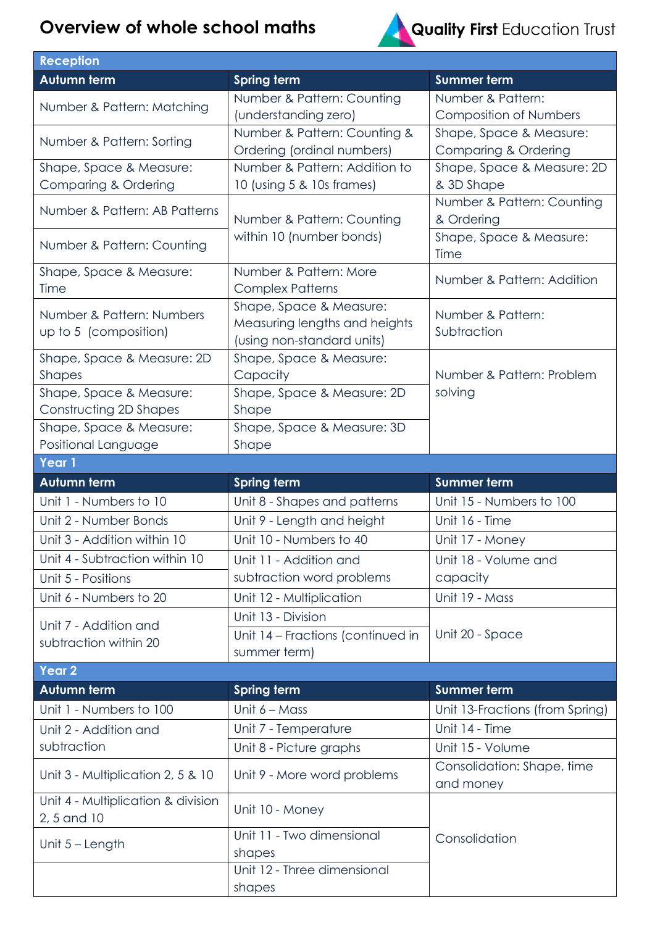## **Overview of whole school maths**



| <b>Reception</b>                                  |                                       |                                          |
|---------------------------------------------------|---------------------------------------|------------------------------------------|
| <b>Autumn term</b>                                | <b>Spring term</b>                    | <b>Summer term</b>                       |
| Number & Pattern: Matching                        | Number & Pattern: Counting            | Number & Pattern:                        |
|                                                   | (understanding zero)                  | <b>Composition of Numbers</b>            |
| Number & Pattern: Sorting                         | Number & Pattern: Counting &          | Shape, Space & Measure:                  |
|                                                   | Ordering (ordinal numbers)            | Comparing & Ordering                     |
| Shape, Space & Measure:                           | Number & Pattern: Addition to         | Shape, Space & Measure: 2D               |
| Comparing & Ordering                              | 10 (using 5 & 10s frames)             | & 3D Shape                               |
| Number & Pattern: AB Patterns                     | Number & Pattern: Counting            | Number & Pattern: Counting<br>& Ordering |
| Number & Pattern: Counting                        | within 10 (number bonds)              | Shape, Space & Measure:<br>Time          |
| Shape, Space & Measure:                           | Number & Pattern: More                | Number & Pattern: Addition               |
| Time                                              | <b>Complex Patterns</b>               |                                          |
| Number & Pattern: Numbers                         | Shape, Space & Measure:               | Number & Pattern:                        |
| up to 5 (composition)                             | Measuring lengths and heights         | Subtraction                              |
|                                                   | (using non-standard units)            |                                          |
| Shape, Space & Measure: 2D                        | Shape, Space & Measure:               |                                          |
| <b>Shapes</b>                                     | Capacity                              | Number & Pattern: Problem                |
| Shape, Space & Measure:                           | Shape, Space & Measure: 2D            | solving                                  |
| Constructing 2D Shapes                            | Shape                                 |                                          |
| Shape, Space & Measure:                           | Shape, Space & Measure: 3D            |                                          |
| Positional Language<br>Year 1                     | Shape                                 |                                          |
|                                                   |                                       |                                          |
|                                                   |                                       |                                          |
| Autumn term                                       | <b>Spring term</b>                    | <b>Summer term</b>                       |
| Unit 1 - Numbers to 10                            | Unit 8 - Shapes and patterns          | Unit 15 - Numbers to 100                 |
| Unit 2 - Number Bonds                             | Unit 9 - Length and height            | Unit 16 - Time                           |
| Unit 3 - Addition within 10                       | Unit 10 - Numbers to 40               | Unit 17 - Money                          |
| Unit 4 - Subtraction within 10                    | Unit 11 - Addition and                | Unit 18 - Volume and                     |
| Unit 5 - Positions                                | subtraction word problems             | capacity                                 |
| Unit 6 - Numbers to 20                            | Unit 12 - Multiplication              | Unit 19 - Mass                           |
| Unit 7 - Addition and                             | Unit 13 - Division                    |                                          |
| subtraction within 20                             | Unit 14 - Fractions (continued in     | Unit 20 - Space                          |
|                                                   | summer term)                          |                                          |
| Year <sub>2</sub>                                 |                                       |                                          |
| Autumn term                                       | <b>Spring term</b>                    | <b>Summer term</b>                       |
| Unit 1 - Numbers to 100                           | Unit $6 - Mass$                       | Unit 13-Fractions (from Spring)          |
| Unit 2 - Addition and                             | Unit 7 - Temperature                  | Unit 14 - Time                           |
| subtraction                                       | Unit 8 - Picture graphs               | Unit 15 - Volume                         |
| Unit 3 - Multiplication 2, 5 & 10                 | Unit 9 - More word problems           | Consolidation: Shape, time<br>and money  |
| Unit 4 - Multiplication & division<br>2, 5 and 10 | Unit 10 - Money                       |                                          |
| Unit $5 -$ Length                                 | Unit 11 - Two dimensional             | Consolidation                            |
|                                                   | shapes<br>Unit 12 - Three dimensional |                                          |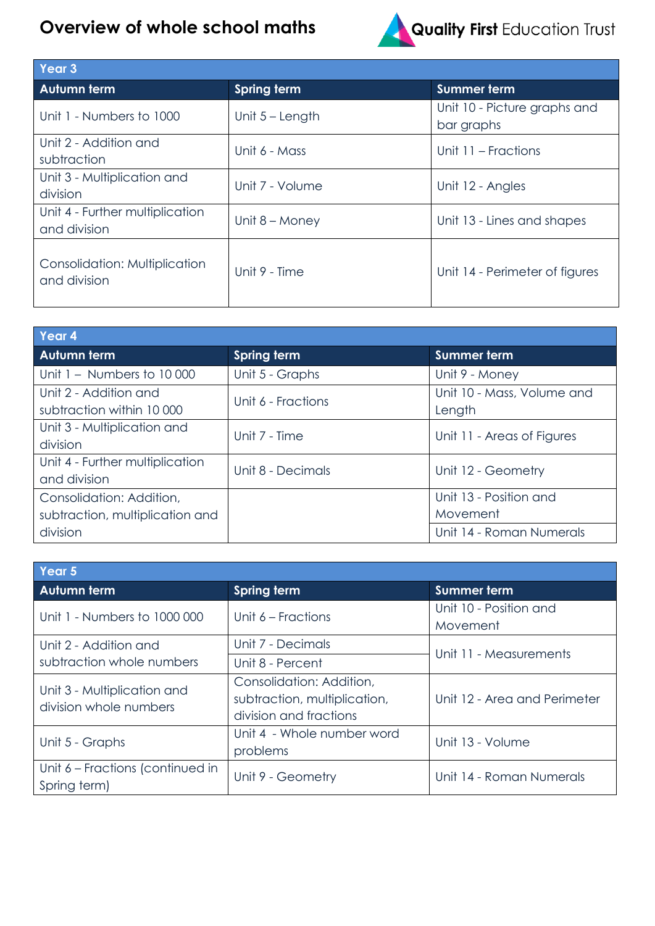## **Overview of whole school maths**



Quality First Education Trust

| Year <sub>3</sub>                               |                    |                                            |
|-------------------------------------------------|--------------------|--------------------------------------------|
| <b>Autumn term</b>                              | <b>Spring term</b> | Summer term                                |
| Unit 1 - Numbers to 1000                        | Unit $5 -$ Length  | Unit 10 - Picture graphs and<br>bar graphs |
| Unit 2 - Addition and<br>subtraction            | Unit 6 - Mass      | Unit 11 – Fractions                        |
| Unit 3 - Multiplication and<br>division         | Unit 7 - Volume    | Unit 12 - Angles                           |
| Unit 4 - Further multiplication<br>and division | Unit $8 -$ Money   | Unit 13 - Lines and shapes                 |
| Consolidation: Multiplication<br>and division   | Unit 9 - Time      | Unit 14 - Perimeter of figures             |

| Year <sub>4</sub>                                  |                    |                                      |  |
|----------------------------------------------------|--------------------|--------------------------------------|--|
| <b>Autumn term</b>                                 | <b>Spring term</b> | <b>Summer term</b>                   |  |
| Unit $1 -$ Numbers to $10000$                      | Unit 5 - Graphs    | Unit 9 - Money                       |  |
| Unit 2 - Addition and<br>subtraction within 10 000 | Unit 6 - Fractions | Unit 10 - Mass, Volume and<br>Length |  |
| Unit 3 - Multiplication and<br>division            | Unit 7 - Time      | Unit 11 - Areas of Figures           |  |
| Unit 4 - Further multiplication<br>and division    | Unit 8 - Decimals  | Unit 12 - Geometry                   |  |
| Consolidation: Addition,                           |                    | Unit 13 - Position and               |  |
| subtraction, multiplication and                    |                    | Movement                             |  |
| division                                           |                    | Unit 14 - Roman Numerals             |  |

| Year 5                                                |                                                                                    |                                    |  |
|-------------------------------------------------------|------------------------------------------------------------------------------------|------------------------------------|--|
| Autumn term                                           | <b>Spring term</b>                                                                 | <b>Summer term</b>                 |  |
| Unit 1 - Numbers to 1000 000                          | Unit 6 – Fractions                                                                 | Unit 10 - Position and<br>Movement |  |
| Unit 2 - Addition and                                 | Unit 7 - Decimals                                                                  | Unit 11 - Measurements             |  |
| subtraction whole numbers                             | Unit 8 - Percent                                                                   |                                    |  |
| Unit 3 - Multiplication and<br>division whole numbers | Consolidation: Addition,<br>subtraction, multiplication,<br>division and fractions | Unit 12 - Area and Perimeter       |  |
| Unit 5 - Graphs                                       | Unit 4 - Whole number word<br>problems                                             | Unit 13 - Volume                   |  |
| Unit 6 – Fractions (continued in<br>Spring term)      | Unit 9 - Geometry                                                                  | Unit 14 - Roman Numerals           |  |